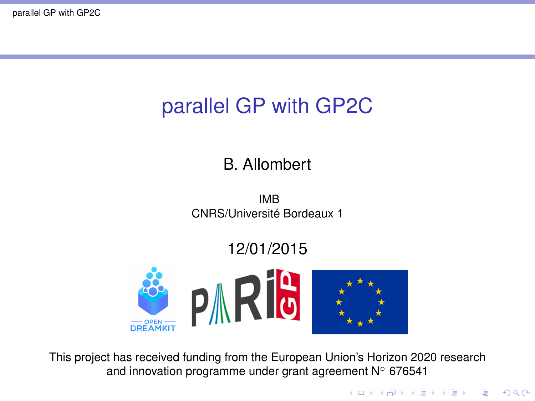# <span id="page-0-0"></span>parallel GP with GP2C

#### B. Allombert

IMB CNRS/Université Bordeaux 1

#### 12/01/2015



This project has received funding from the European Union's Horizon 2020 research and innovation programme under grant agreement N◦ 676541

**KOD KOD KED KED E VAN**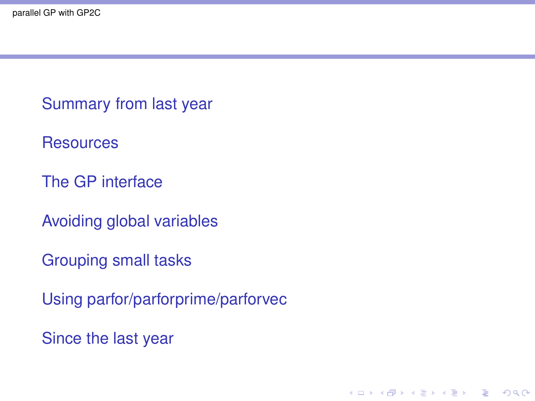[Summary from last year](#page-2-0)

**[Resources](#page-3-0)** 

[The GP interface](#page-6-0)

[Avoiding global variables](#page-8-0)

[Grouping small tasks](#page-11-0)

[Using parfor/parforprime/parforvec](#page-12-0)

**KORK ERKER ADAM ADA** 

[Since the last year](#page-15-0)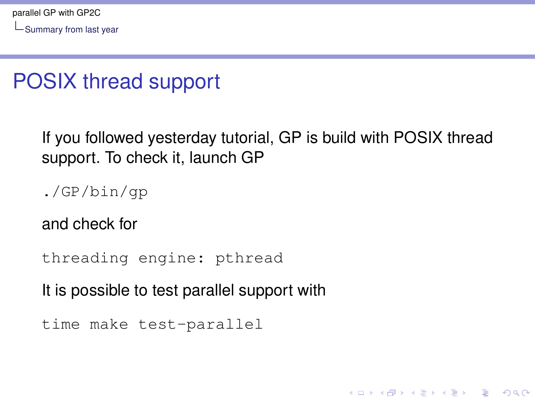<span id="page-2-0"></span>[Summary from last year](#page-2-0)

# POSIX thread support

If you followed yesterday tutorial, GP is build with POSIX thread support. To check it, launch GP

**KORK ERKER ADAM ADA** 

./GP/bin/gp

and check for

threading engine: pthread

It is possible to test parallel support with

```
time make test-parallel
```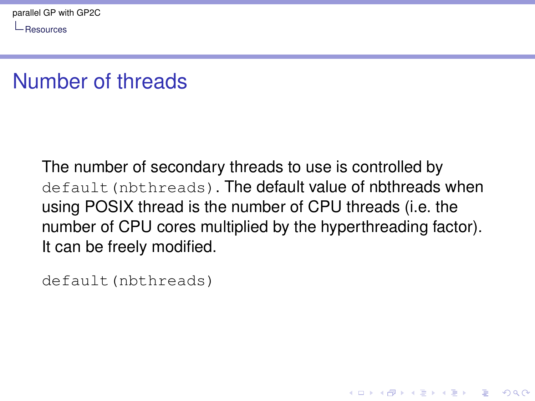<span id="page-3-0"></span>[Resources](#page-3-0)

## Number of threads

The number of secondary threads to use is controlled by default (nbthreads). The default value of nbthreads when using POSIX thread is the number of CPU threads (i.e. the number of CPU cores multiplied by the hyperthreading factor). It can be freely modified.

**KORK ERKER ADAM ADA** 

default(nbthreads)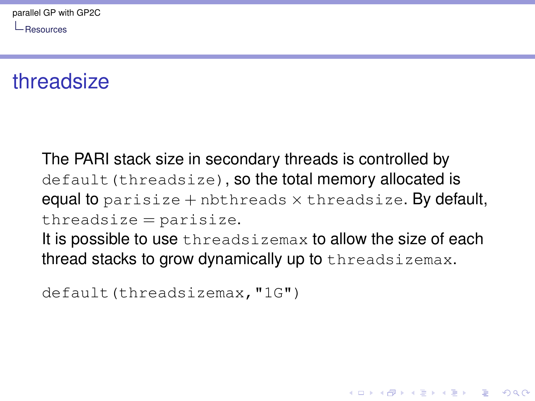[Resources](#page-3-0)

#### threadsize

The PARI stack size in secondary threads is controlled by default (threadsize), so the total memory allocated is equal to parisize + nbthreads  $\times$  threadsize. By default,  $three\, \text{distance} = \text{particle}.$ 

It is possible to use threadsizemax to allow the size of each thread stacks to grow dynamically up to threadsizemax.

```
default(threadsizemax,"1G")
```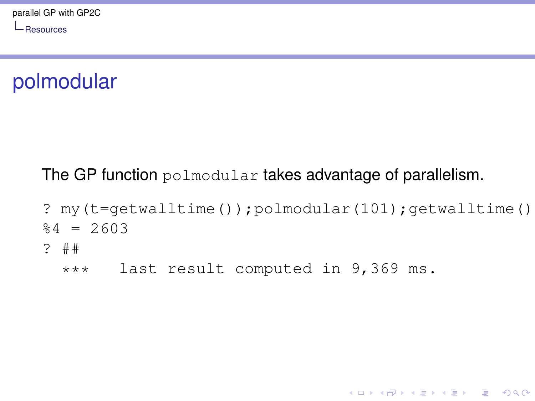[Resources](#page-3-0)

## polmodular

#### The GP function polmodular takes advantage of parallelism.

```
? my(t=qetwalltime());polmodular(101);getwalltime()
%4 = 2603? ##
```
**KORKARYKERKE PORCH** 

```
*** last result computed in 9,369 ms.
```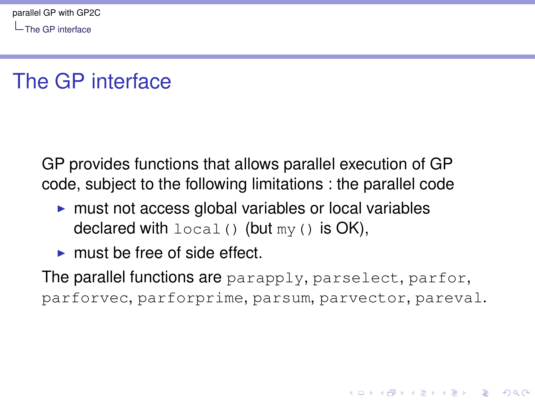<span id="page-6-0"></span>[The GP interface](#page-6-0)

# The GP interface

GP provides functions that allows parallel execution of GP code, subject to the following limitations : the parallel code

- $\triangleright$  must not access global variables or local variables declared with  $local()$  (but my() is OK),
- $\blacktriangleright$  must be free of side effect.

The parallel functions are parapply, parselect, parfor, parforvec, parforprime, parsum, parvector, pareval.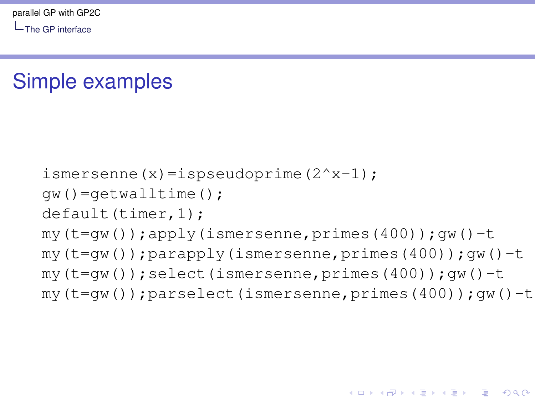[The GP interface](#page-6-0)

## Simple examples

```
ismersenne(x)=ispseudoprime(2^xx-1);
qw() = qetwalltime();
default(timer,1);
my(t=gw()); apply(ismersenne, primes(400));qw() -tmy(t=gw());parapply(ismersenne,primes(400));gw()-t
my(t=qw(); select(ismersenne, primes(400)); qw() -t
my(t=qw()); parselect(ismersenne, primes(400));qw() -t
```
#### **KOD CONTRACT A BOAR KOD A CO**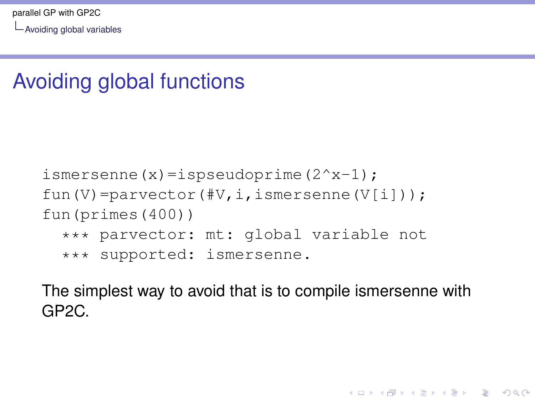<span id="page-8-0"></span>[Avoiding global variables](#page-8-0)

# Avoiding global functions

```
ismersenne(x)=ispseudoprime(2^x - 1);
fun(V)=parvector(#V,i,ismersenne(V[i]));
fun(primes(400))
  *** parvector: mt: global variable not
  *** supported: ismersenne.
```
The simplest way to avoid that is to compile ismersenne with GP2C.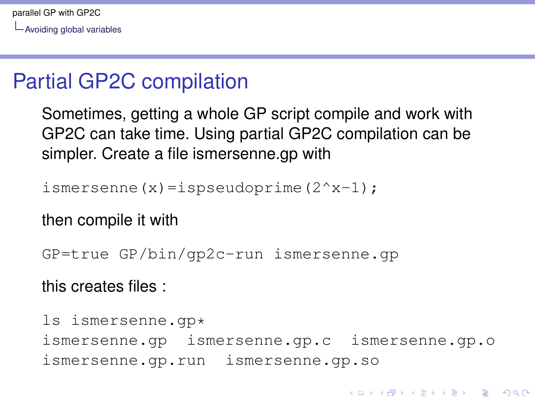[Avoiding global variables](#page-8-0)

# Partial GP2C compilation

Sometimes, getting a whole GP script compile and work with GP2C can take time. Using partial GP2C compilation can be simpler. Create a file ismersenne.gp with

ismersenne(x)=ispseudoprime( $2^x - 1$ );

then compile it with

GP=true GP/bin/gp2c-run ismersenne.gp

this creates files :

ls ismersenne.gp\* ismersenne.gp ismersenne.gp.c ismersenne.gp.o ismersenne.gp.run ismersenne.gp.so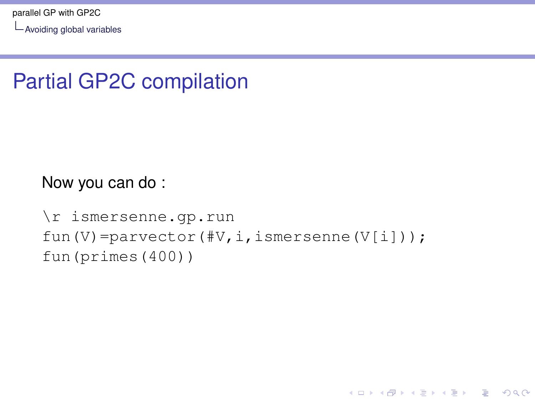[Avoiding global variables](#page-8-0)

## Partial GP2C compilation

Now you can do :

```
\r ismersenne.gp.run
fun(V)=parvector(#V,i,ismersenne(V[i]));
fun(primes(400))
```
**KORKARA KERKER DAGA**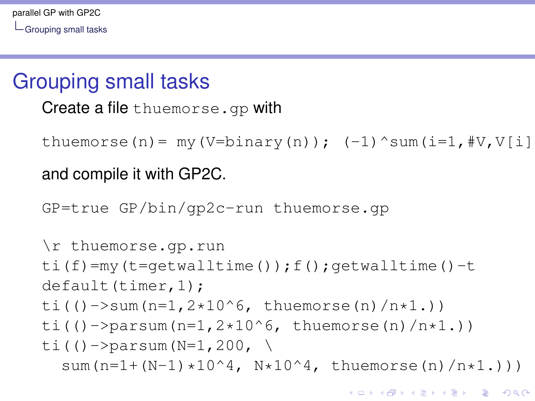#### <span id="page-11-0"></span>Grouping small tasks

```
Create a file thuemorse.gp with
```
thuemorse(n)= my(V=binary(n));  $(-1)^s$ sum(i=1,#V,V[i]

#### and compile it with GP2C.

```
GP=true GP/bin/gp2c-run thuemorse.gp
```

```
\r thuemorse.gp.run
ti(f)=my(t=qetwalltime());f();qetwalltime()-t
default(timer,1);
ti(()->sum(n=1,2*10^6, thuemorse(n)/n*1.))
ti(()->parsum(n=1,2*10^6, thuemorse(n)/n*1.))
ti(()->parsum(N=1,200, \
  sum(n=1+(N-1)*10^4, N*10^4, thuemorse(n)/n*1.)))
```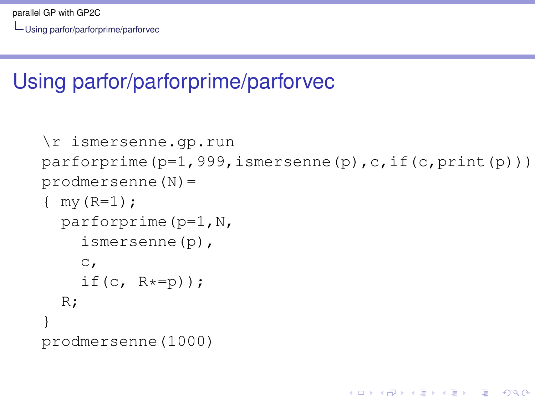<span id="page-12-0"></span>[Using parfor/parforprime/parforvec](#page-12-0)

# Using parfor/parforprime/parforvec

```
\r ismersenne.gp.run
parforprime(p=1,999, ismersenne(p), c, if(c, print(p)))
prodmersenne(N)=
\{ my (R=1);
  parforprime(p=1,N,
    ismersenne(p),
    C,
    if(c, R*=p));
  R;
}
prodmersenne(1000)
```
KEL KALEY KEY E NAG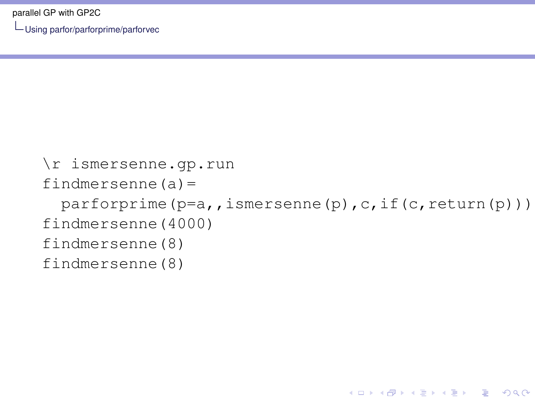[Using parfor/parforprime/parforvec](#page-12-0)

```
\r ismersenne.gp.run
findmersenne(a)=
 parforprime(p=a,, ismersenne(p), c, if(c, return(p)))
findmersenne(4000)
findmersenne(8)
findmersenne(8)
```
**KORKARYKERKE PORCH**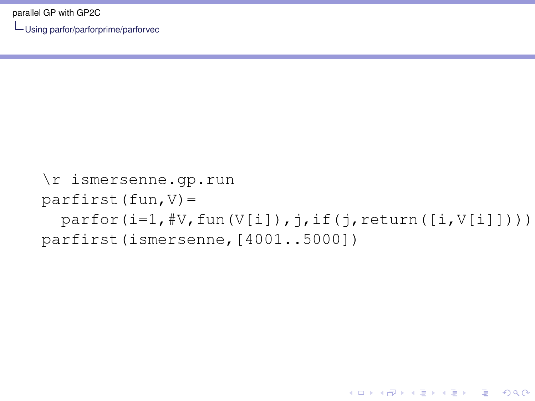[Using parfor/parforprime/parforvec](#page-12-0)

```
\r ismersenne.gp.run
partirst(fun, V) =parfor(i=1,#V,fun(V[i]),j,if(j,return([i,V[i]]))))
parfirst(ismersenne,[4001..5000])
```
**KORKARYKERKE PORCH**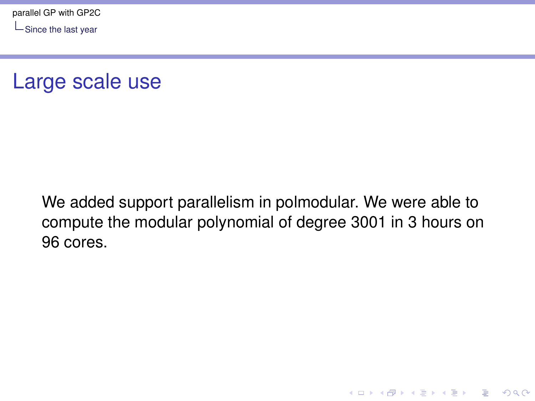<span id="page-15-0"></span>[Since the last year](#page-15-0)



We added support parallelism in polmodular. We were able to compute the modular polynomial of degree 3001 in 3 hours on 96 cores.